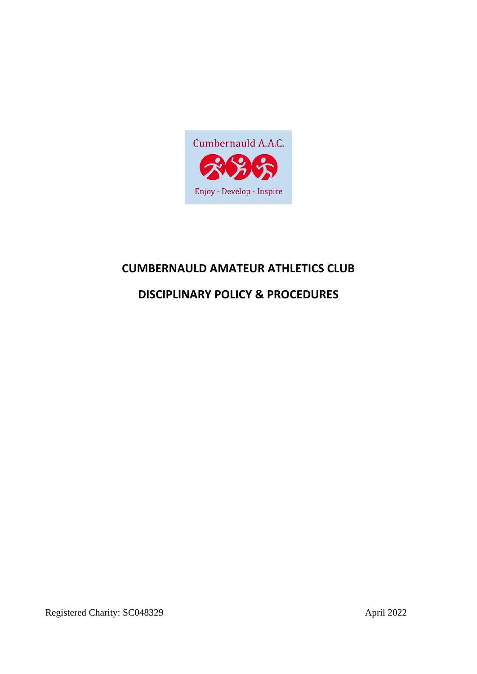

# **CUMBERNAULD AMATEUR ATHLETICS CLUB**

# **DISCIPLINARY POLICY & PROCEDURES**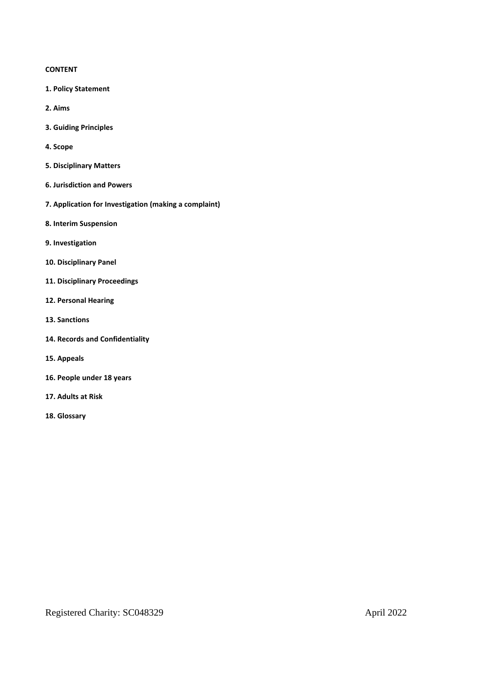## **CONTENT**

- **1. Policy Statement**
- **2. Aims**
- **3. Guiding Principles**
- **4. Scope**
- **5. Disciplinary Matters**
- **6. Jurisdiction and Powers**
- **7. Application for Investigation (making a complaint)**
- **8. Interim Suspension**
- **9. Investigation**
- **10. Disciplinary Panel**
- **11. Disciplinary Proceedings**
- **12. Personal Hearing**
- **13. Sanctions**
- **14. Records and Confidentiality**
- **15. Appeals**
- **16. People under 18 years**
- **17. Adults at Risk**
- **18. Glossary**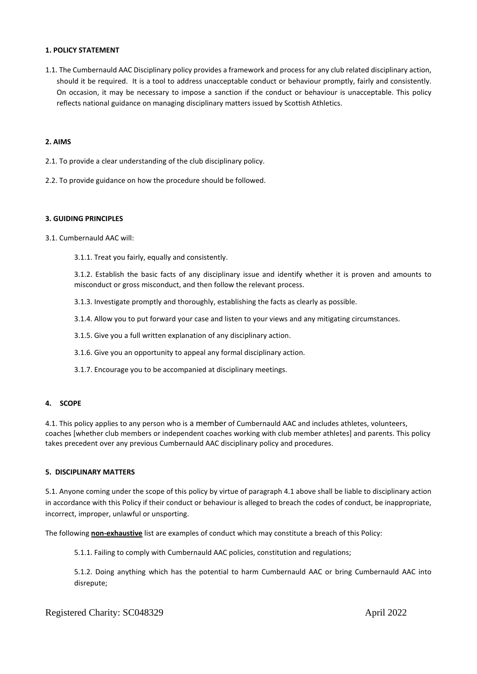#### **1. POLICY STATEMENT**

1.1. The Cumbernauld AAC Disciplinary policy provides a framework and process for any club related disciplinary action, should it be required. It is a tool to address unacceptable conduct or behaviour promptly, fairly and consistently. On occasion, it may be necessary to impose a sanction if the conduct or behaviour is unacceptable. This policy reflects national guidance on managing disciplinary matters issued by Scottish Athletics.

#### **2. AIMS**

- 2.1. To provide a clear understanding of the club disciplinary policy.
- 2.2. To provide guidance on how the procedure should be followed.

#### **3. GUIDING PRINCIPLES**

- 3.1. Cumbernauld AAC will:
	- 3.1.1. Treat you fairly, equally and consistently.

3.1.2. Establish the basic facts of any disciplinary issue and identify whether it is proven and amounts to misconduct or gross misconduct, and then follow the relevant process.

- 3.1.3. Investigate promptly and thoroughly, establishing the facts as clearly as possible.
- 3.1.4. Allow you to put forward your case and listen to your views and any mitigating circumstances.
- 3.1.5. Give you a full written explanation of any disciplinary action.
- 3.1.6. Give you an opportunity to appeal any formal disciplinary action.
- 3.1.7. Encourage you to be accompanied at disciplinary meetings.

# **4. SCOPE**

4.1. This policy applies to any person who is a member of Cumbernauld AAC and includes athletes, volunteers, coaches [whether club members or independent coaches working with club member athletes] and parents. This policy takes precedent over any previous Cumbernauld AAC disciplinary policy and procedures.

#### **5. DISCIPLINARY MATTERS**

5.1. Anyone coming under the scope of this policy by virtue of paragraph 4.1 above shall be liable to disciplinary action in accordance with this Policy if their conduct or behaviour is alleged to breach the codes of conduct, be inappropriate, incorrect, improper, unlawful or unsporting.

The following **non-exhaustive** list are examples of conduct which may constitute a breach of this Policy:

5.1.1. Failing to comply with Cumbernauld AAC policies, constitution and regulations;

5.1.2. Doing anything which has the potential to harm Cumbernauld AAC or bring Cumbernauld AAC into disrepute;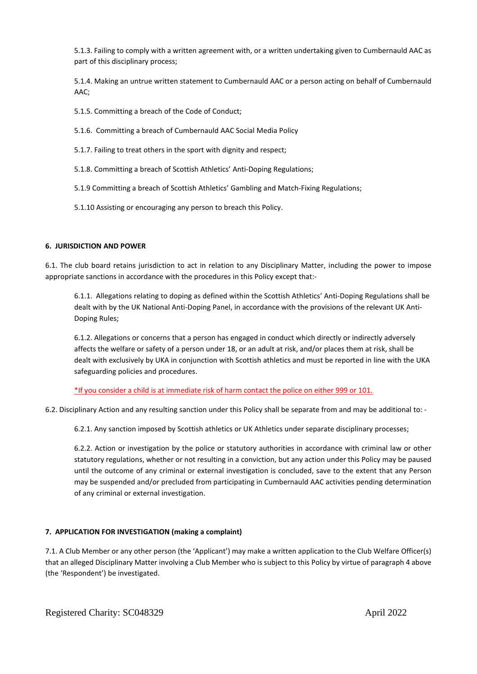5.1.3. Failing to comply with a written agreement with, or a written undertaking given to Cumbernauld AAC as part of this disciplinary process;

5.1.4. Making an untrue written statement to Cumbernauld AAC or a person acting on behalf of Cumbernauld AAC;

5.1.5. Committing a breach of the Code of Conduct;

- 5.1.6. Committing a breach of Cumbernauld AAC Social Media Policy
- 5.1.7. Failing to treat others in the sport with dignity and respect;
- 5.1.8. Committing a breach of Scottish Athletics' Anti-Doping Regulations;
- 5.1.9 Committing a breach of Scottish Athletics' Gambling and Match-Fixing Regulations;
- 5.1.10 Assisting or encouraging any person to breach this Policy.

## **6. JURISDICTION AND POWER**

6.1. The club board retains jurisdiction to act in relation to any Disciplinary Matter, including the power to impose appropriate sanctions in accordance with the procedures in this Policy except that:-

6.1.1. Allegations relating to doping as defined within the Scottish Athletics' Anti-Doping Regulations shall be dealt with by the UK National Anti-Doping Panel, in accordance with the provisions of the relevant UK Anti-Doping Rules;

6.1.2. Allegations or concerns that a person has engaged in conduct which directly or indirectly adversely affects the welfare or safety of a person under 18, or an adult at risk, and/or places them at risk, shall be dealt with exclusively by UKA in conjunction with Scottish athletics and must be reported in line with the UKA safeguarding policies and procedures.

\*If you consider a child is at immediate risk of harm contact the police on either 999 or 101.

6.2. Disciplinary Action and any resulting sanction under this Policy shall be separate from and may be additional to: -

6.2.1. Any sanction imposed by Scottish athletics or UK Athletics under separate disciplinary processes;

6.2.2. Action or investigation by the police or statutory authorities in accordance with criminal law or other statutory regulations, whether or not resulting in a conviction, but any action under this Policy may be paused until the outcome of any criminal or external investigation is concluded, save to the extent that any Person may be suspended and/or precluded from participating in Cumbernauld AAC activities pending determination of any criminal or external investigation.

# **7. APPLICATION FOR INVESTIGATION (making a complaint)**

7.1. A Club Member or any other person (the 'Applicant') may make a written application to the Club Welfare Officer(s) that an alleged Disciplinary Matter involving a Club Member who is subject to this Policy by virtue of paragraph 4 above (the 'Respondent') be investigated.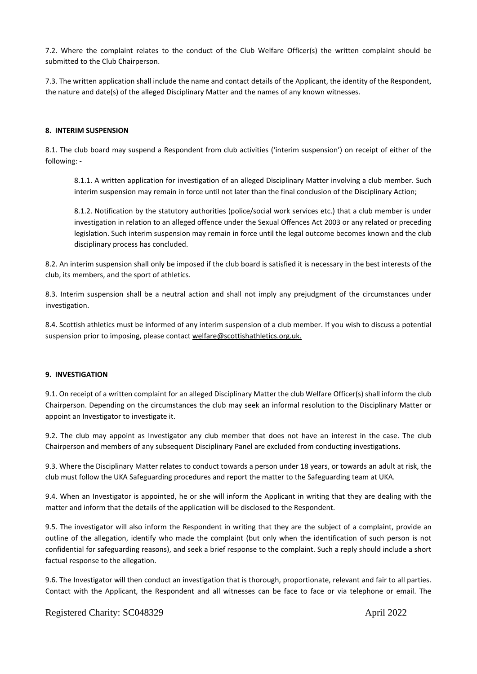7.2. Where the complaint relates to the conduct of the Club Welfare Officer(s) the written complaint should be submitted to the Club Chairperson.

7.3. The written application shall include the name and contact details of the Applicant, the identity of the Respondent, the nature and date(s) of the alleged Disciplinary Matter and the names of any known witnesses.

## **8. INTERIM SUSPENSION**

8.1. The club board may suspend a Respondent from club activities ('interim suspension') on receipt of either of the following: -

8.1.1. A written application for investigation of an alleged Disciplinary Matter involving a club member. Such interim suspension may remain in force until not later than the final conclusion of the Disciplinary Action;

8.1.2. Notification by the statutory authorities (police/social work services etc.) that a club member is under investigation in relation to an alleged offence under the Sexual Offences Act 2003 or any related or preceding legislation. Such interim suspension may remain in force until the legal outcome becomes known and the club disciplinary process has concluded.

8.2. An interim suspension shall only be imposed if the club board is satisfied it is necessary in the best interests of the club, its members, and the sport of athletics.

8.3. Interim suspension shall be a neutral action and shall not imply any prejudgment of the circumstances under investigation.

8.4. Scottish athletics must be informed of any interim suspension of a club member. If you wish to discuss a potential suspension prior to imposing, please contact [welfare@scottishathletics.org.uk.](mailto:welfare@scottishathletics.org.uk)

## **9. INVESTIGATION**

9.1. On receipt of a written complaint for an alleged Disciplinary Matter the club Welfare Officer(s) shall inform the club Chairperson. Depending on the circumstances the club may seek an informal resolution to the Disciplinary Matter or appoint an Investigator to investigate it.

9.2. The club may appoint as Investigator any club member that does not have an interest in the case. The club Chairperson and members of any subsequent Disciplinary Panel are excluded from conducting investigations.

9.3. Where the Disciplinary Matter relates to conduct towards a person under 18 years, or towards an adult at risk, the club must follow the UKA Safeguarding procedures and report the matter to the Safeguarding team at UKA.

9.4. When an Investigator is appointed, he or she will inform the Applicant in writing that they are dealing with the matter and inform that the details of the application will be disclosed to the Respondent.

9.5. The investigator will also inform the Respondent in writing that they are the subject of a complaint, provide an outline of the allegation, identify who made the complaint (but only when the identification of such person is not confidential for safeguarding reasons), and seek a brief response to the complaint. Such a reply should include a short factual response to the allegation.

9.6. The Investigator will then conduct an investigation that is thorough, proportionate, relevant and fair to all parties. Contact with the Applicant, the Respondent and all witnesses can be face to face or via telephone or email. The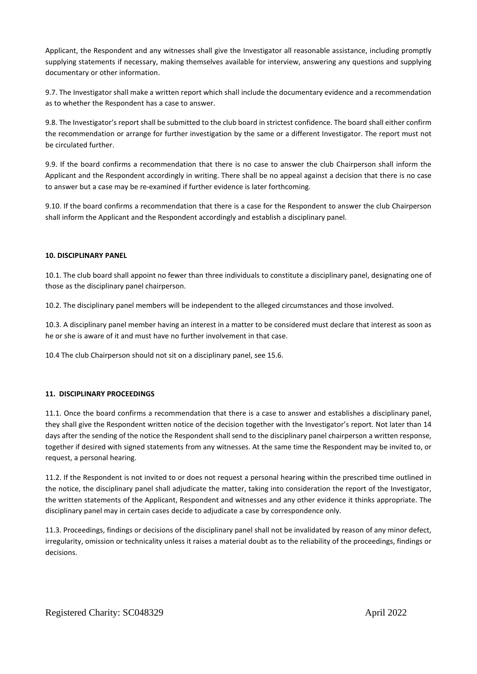Applicant, the Respondent and any witnesses shall give the Investigator all reasonable assistance, including promptly supplying statements if necessary, making themselves available for interview, answering any questions and supplying documentary or other information.

9.7. The Investigator shall make a written report which shall include the documentary evidence and a recommendation as to whether the Respondent has a case to answer.

9.8. The Investigator's report shall be submitted to the club board in strictest confidence. The board shall either confirm the recommendation or arrange for further investigation by the same or a different Investigator. The report must not be circulated further.

9.9. If the board confirms a recommendation that there is no case to answer the club Chairperson shall inform the Applicant and the Respondent accordingly in writing. There shall be no appeal against a decision that there is no case to answer but a case may be re-examined if further evidence is later forthcoming.

9.10. If the board confirms a recommendation that there is a case for the Respondent to answer the club Chairperson shall inform the Applicant and the Respondent accordingly and establish a disciplinary panel.

## **10. DISCIPLINARY PANEL**

10.1. The club board shall appoint no fewer than three individuals to constitute a disciplinary panel, designating one of those as the disciplinary panel chairperson.

10.2. The disciplinary panel members will be independent to the alleged circumstances and those involved.

10.3. A disciplinary panel member having an interest in a matter to be considered must declare that interest as soon as he or she is aware of it and must have no further involvement in that case.

10.4 The club Chairperson should not sit on a disciplinary panel, see 15.6.

## **11. DISCIPLINARY PROCEEDINGS**

11.1. Once the board confirms a recommendation that there is a case to answer and establishes a disciplinary panel, they shall give the Respondent written notice of the decision together with the Investigator's report. Not later than 14 days after the sending of the notice the Respondent shall send to the disciplinary panel chairperson a written response, together if desired with signed statements from any witnesses. At the same time the Respondent may be invited to, or request, a personal hearing.

11.2. If the Respondent is not invited to or does not request a personal hearing within the prescribed time outlined in the notice, the disciplinary panel shall adjudicate the matter, taking into consideration the report of the Investigator, the written statements of the Applicant, Respondent and witnesses and any other evidence it thinks appropriate. The disciplinary panel may in certain cases decide to adjudicate a case by correspondence only.

11.3. Proceedings, findings or decisions of the disciplinary panel shall not be invalidated by reason of any minor defect, irregularity, omission or technicality unless it raises a material doubt as to the reliability of the proceedings, findings or decisions.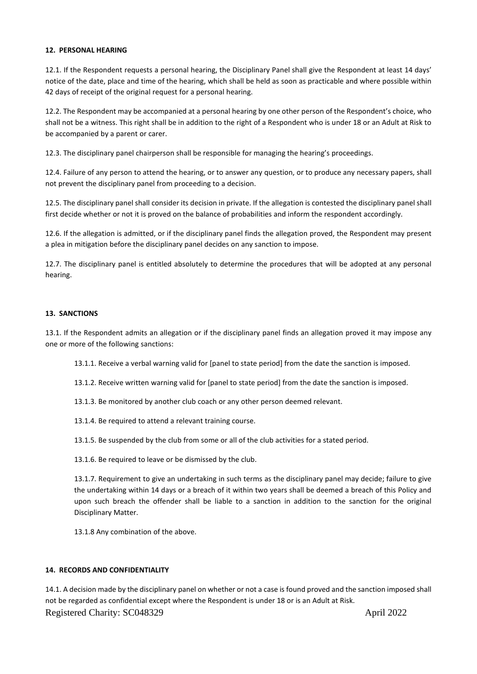## **12. PERSONAL HEARING**

12.1. If the Respondent requests a personal hearing, the Disciplinary Panel shall give the Respondent at least 14 days' notice of the date, place and time of the hearing, which shall be held as soon as practicable and where possible within 42 days of receipt of the original request for a personal hearing.

12.2. The Respondent may be accompanied at a personal hearing by one other person of the Respondent's choice, who shall not be a witness. This right shall be in addition to the right of a Respondent who is under 18 or an Adult at Risk to be accompanied by a parent or carer.

12.3. The disciplinary panel chairperson shall be responsible for managing the hearing's proceedings.

12.4. Failure of any person to attend the hearing, or to answer any question, or to produce any necessary papers, shall not prevent the disciplinary panel from proceeding to a decision.

12.5. The disciplinary panel shall consider its decision in private. If the allegation is contested the disciplinary panel shall first decide whether or not it is proved on the balance of probabilities and inform the respondent accordingly.

12.6. If the allegation is admitted, or if the disciplinary panel finds the allegation proved, the Respondent may present a plea in mitigation before the disciplinary panel decides on any sanction to impose.

12.7. The disciplinary panel is entitled absolutely to determine the procedures that will be adopted at any personal hearing.

## **13. SANCTIONS**

13.1. If the Respondent admits an allegation or if the disciplinary panel finds an allegation proved it may impose any one or more of the following sanctions:

13.1.1. Receive a verbal warning valid for [panel to state period] from the date the sanction is imposed.

13.1.2. Receive written warning valid for [panel to state period] from the date the sanction is imposed.

13.1.3. Be monitored by another club coach or any other person deemed relevant.

13.1.4. Be required to attend a relevant training course.

13.1.5. Be suspended by the club from some or all of the club activities for a stated period.

13.1.6. Be required to leave or be dismissed by the club.

13.1.7. Requirement to give an undertaking in such terms as the disciplinary panel may decide; failure to give the undertaking within 14 days or a breach of it within two years shall be deemed a breach of this Policy and upon such breach the offender shall be liable to a sanction in addition to the sanction for the original Disciplinary Matter.

13.1.8 Any combination of the above.

## **14. RECORDS AND CONFIDENTIALITY**

Registered Charity: SC048329 April 2022 14.1. A decision made by the disciplinary panel on whether or not a case is found proved and the sanction imposed shall not be regarded as confidential except where the Respondent is under 18 or is an Adult at Risk.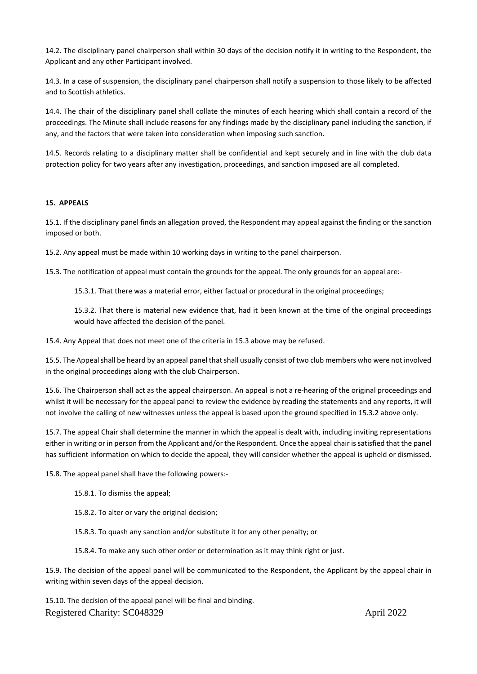14.2. The disciplinary panel chairperson shall within 30 days of the decision notify it in writing to the Respondent, the Applicant and any other Participant involved.

14.3. In a case of suspension, the disciplinary panel chairperson shall notify a suspension to those likely to be affected and to Scottish athletics.

14.4. The chair of the disciplinary panel shall collate the minutes of each hearing which shall contain a record of the proceedings. The Minute shall include reasons for any findings made by the disciplinary panel including the sanction, if any, and the factors that were taken into consideration when imposing such sanction.

14.5. Records relating to a disciplinary matter shall be confidential and kept securely and in line with the club data protection policy for two years after any investigation, proceedings, and sanction imposed are all completed.

## **15. APPEALS**

15.1. If the disciplinary panel finds an allegation proved, the Respondent may appeal against the finding or the sanction imposed or both.

15.2. Any appeal must be made within 10 working days in writing to the panel chairperson.

15.3. The notification of appeal must contain the grounds for the appeal. The only grounds for an appeal are:-

15.3.1. That there was a material error, either factual or procedural in the original proceedings;

15.3.2. That there is material new evidence that, had it been known at the time of the original proceedings would have affected the decision of the panel.

15.4. Any Appeal that does not meet one of the criteria in 15.3 above may be refused.

15.5. The Appeal shall be heard by an appeal panel that shall usually consist of two club members who were not involved in the original proceedings along with the club Chairperson.

15.6. The Chairperson shall act as the appeal chairperson. An appeal is not a re-hearing of the original proceedings and whilst it will be necessary for the appeal panel to review the evidence by reading the statements and any reports, it will not involve the calling of new witnesses unless the appeal is based upon the ground specified in 15.3.2 above only.

15.7. The appeal Chair shall determine the manner in which the appeal is dealt with, including inviting representations either in writing or in person from the Applicant and/or the Respondent. Once the appeal chair issatisfied that the panel has sufficient information on which to decide the appeal, they will consider whether the appeal is upheld or dismissed.

15.8. The appeal panel shall have the following powers:-

15.8.1. To dismiss the appeal;

15.8.2. To alter or vary the original decision;

15.8.3. To quash any sanction and/or substitute it for any other penalty; or

15.8.4. To make any such other order or determination as it may think right or just.

15.9. The decision of the appeal panel will be communicated to the Respondent, the Applicant by the appeal chair in writing within seven days of the appeal decision.

Registered Charity: SC048329 April 2022 15.10. The decision of the appeal panel will be final and binding.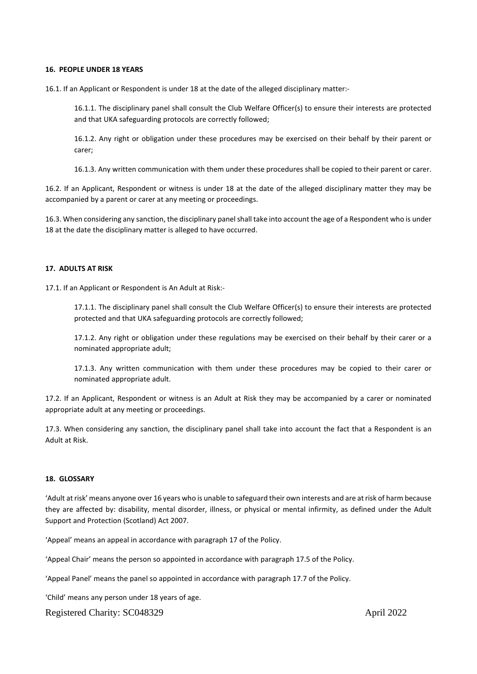#### **16. PEOPLE UNDER 18 YEARS**

16.1. If an Applicant or Respondent is under 18 at the date of the alleged disciplinary matter:-

16.1.1. The disciplinary panel shall consult the Club Welfare Officer(s) to ensure their interests are protected and that UKA safeguarding protocols are correctly followed;

16.1.2. Any right or obligation under these procedures may be exercised on their behalf by their parent or carer;

16.1.3. Any written communication with them under these procedures shall be copied to their parent or carer.

16.2. If an Applicant, Respondent or witness is under 18 at the date of the alleged disciplinary matter they may be accompanied by a parent or carer at any meeting or proceedings.

16.3. When considering any sanction, the disciplinary panelshall take into account the age of a Respondent who is under 18 at the date the disciplinary matter is alleged to have occurred.

## **17. ADULTS AT RISK**

17.1. If an Applicant or Respondent is An Adult at Risk:-

17.1.1. The disciplinary panel shall consult the Club Welfare Officer(s) to ensure their interests are protected protected and that UKA safeguarding protocols are correctly followed;

17.1.2. Any right or obligation under these regulations may be exercised on their behalf by their carer or a nominated appropriate adult;

17.1.3. Any written communication with them under these procedures may be copied to their carer or nominated appropriate adult.

17.2. If an Applicant, Respondent or witness is an Adult at Risk they may be accompanied by a carer or nominated appropriate adult at any meeting or proceedings.

17.3. When considering any sanction, the disciplinary panel shall take into account the fact that a Respondent is an Adult at Risk.

## **18. GLOSSARY**

'Adult atrisk' means anyone over 16 years who is unable to safeguard their own interests and are atrisk of harm because they are affected by: disability, mental disorder, illness, or physical or mental infirmity, as defined under the Adult Support and Protection (Scotland) Act 2007.

'Appeal' means an appeal in accordance with paragraph 17 of the Policy.

'Appeal Chair' means the person so appointed in accordance with paragraph 17.5 of the Policy.

'Appeal Panel' means the panel so appointed in accordance with paragraph 17.7 of the Policy.

'Child' means any person under 18 years of age.

Registered Charity: SC048329 April 2022